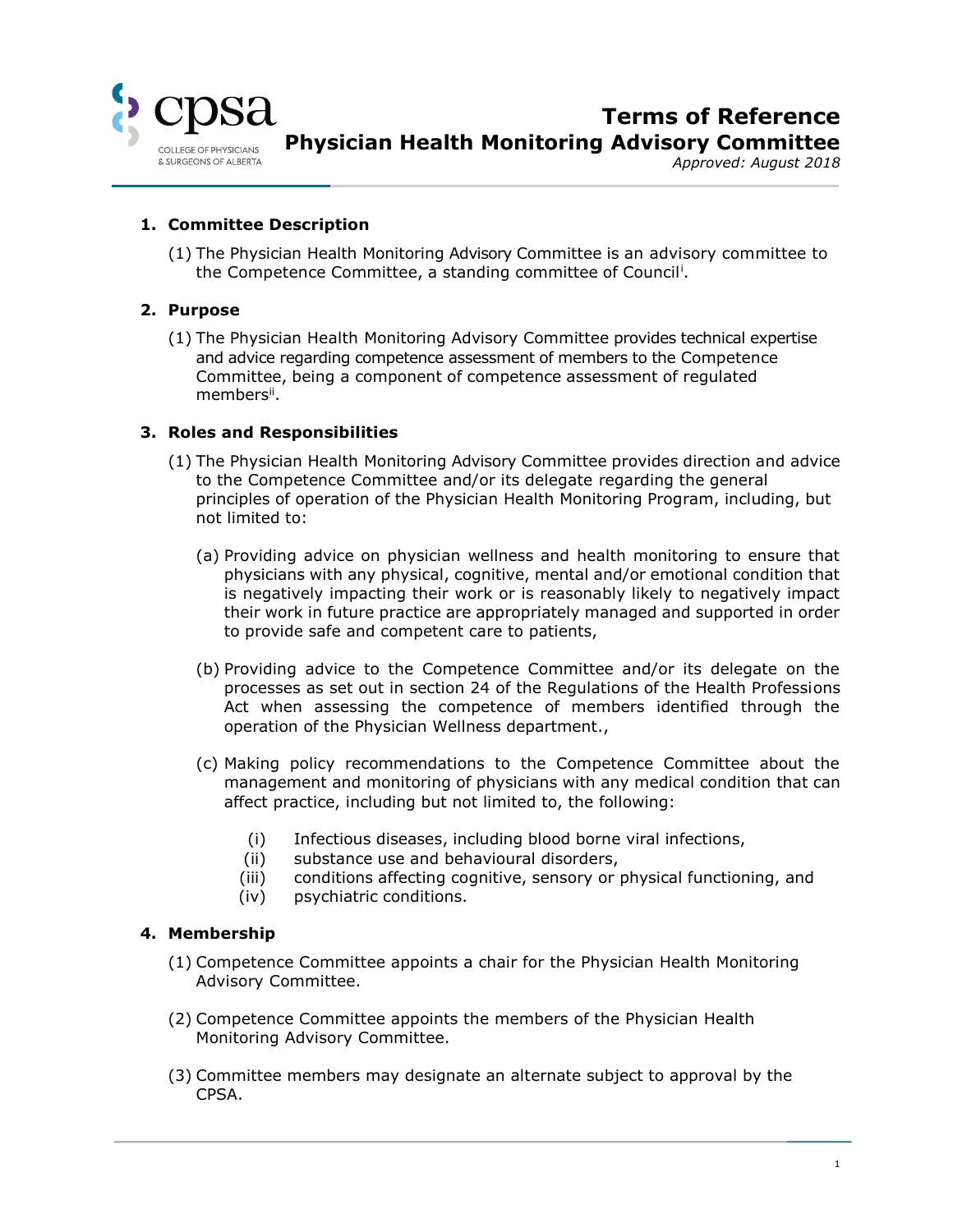

**Terms of Reference Physician Health Monitoring Advisory Committee**

*Approved: August 2018*

#### **1. Committee Description**

(1) The Physician Health Monitoring Advisory Committee is an advisory committee to the Competence Committee, a standing committee of Council<sup>i</sup>.

#### **2. Purpose**

(1) The Physician Health Monitoring Advisory Committee provides technical expertise and advice regarding competence assessment of members to the Competence Committee, being a component of competence assessment of regulated members".

#### **3. Roles and Responsibilities**

- (1) The Physician Health Monitoring Advisory Committee provides direction and advice to the Competence Committee and/or its delegate regarding the general principles of operation of the Physician Health Monitoring Program, including, but not limited to:
	- (a) Providing advice on physician wellness and health monitoring to ensure that physicians with any physical, cognitive, mental and/or emotional condition that is negatively impacting their work or is reasonably likely to negatively impact their work in future practice are appropriately managed and supported in order to provide safe and competent care to patients,
	- (b) Providing advice to the Competence Committee and/or its delegate on the processes as set out in section 24 of the Regulations of the Health Professions Act when assessing the competence of members identified through the operation of the Physician Wellness department.,
	- (c) Making policy recommendations to the Competence Committee about the management and monitoring of physicians with any medical condition that can affect practice, including but not limited to, the following:
		- (i) Infectious diseases, including blood borne viral infections,
		- (ii) substance use and behavioural disorders,
		- (iii) conditions affecting cognitive, sensory or physical functioning, and
		- (iv) psychiatric conditions.

#### **4. Membership**

- (1) Competence Committee appoints a chair for the Physician Health Monitoring Advisory Committee.
- (2) Competence Committee appoints the members of the Physician Health Monitoring Advisory Committee.
- (3) Committee members may designate an alternate subject to approval by the CPSA.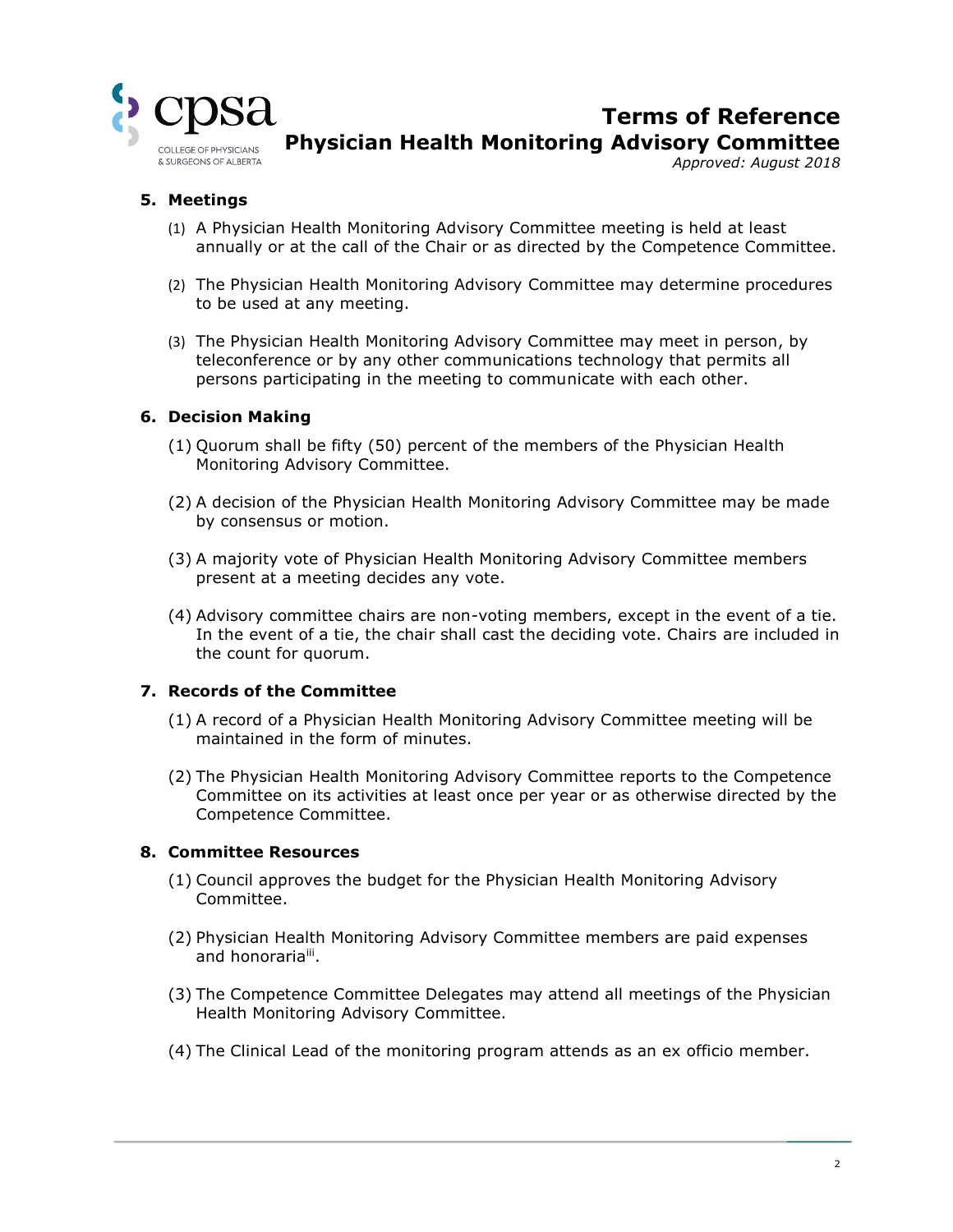

# **Terms of Reference Physician Health Monitoring Advisory Committee**

*Approved: August 2018*

# **5. Meetings**

- (1) A Physician Health Monitoring Advisory Committee meeting is held at least annually or at the call of the Chair or as directed by the Competence Committee.
- (2) The Physician Health Monitoring Advisory Committee may determine procedures to be used at any meeting.
- (3) The Physician Health Monitoring Advisory Committee may meet in person, by teleconference or by any other communications technology that permits all persons participating in the meeting to communicate with each other.

#### **6. Decision Making**

- (1) Quorum shall be fifty (50) percent of the members of the Physician Health Monitoring Advisory Committee.
- (2) A decision of the Physician Health Monitoring Advisory Committee may be made by consensus or motion.
- (3) A majority vote of Physician Health Monitoring Advisory Committee members present at a meeting decides any vote.
- (4) Advisory committee chairs are non-voting members, except in the event of a tie. In the event of a tie, the chair shall cast the deciding vote. Chairs are included in the count for quorum.

#### **7. Records of the Committee**

- (1) A record of a Physician Health Monitoring Advisory Committee meeting will be maintained in the form of minutes.
- (2) The Physician Health Monitoring Advisory Committee reports to the Competence Committee on its activities at least once per year or as otherwise directed by the Competence Committee.

#### **8. Committee Resources**

- (1) Council approves the budget for the Physician Health Monitoring Advisory Committee.
- (2) Physician Health Monitoring Advisory Committee members are paid expenses and honorariaiii.
- (3) The Competence Committee Delegates may attend all meetings of the Physician Health Monitoring Advisory Committee.
- (4) The Clinical Lead of the monitoring program attends as an ex officio member.